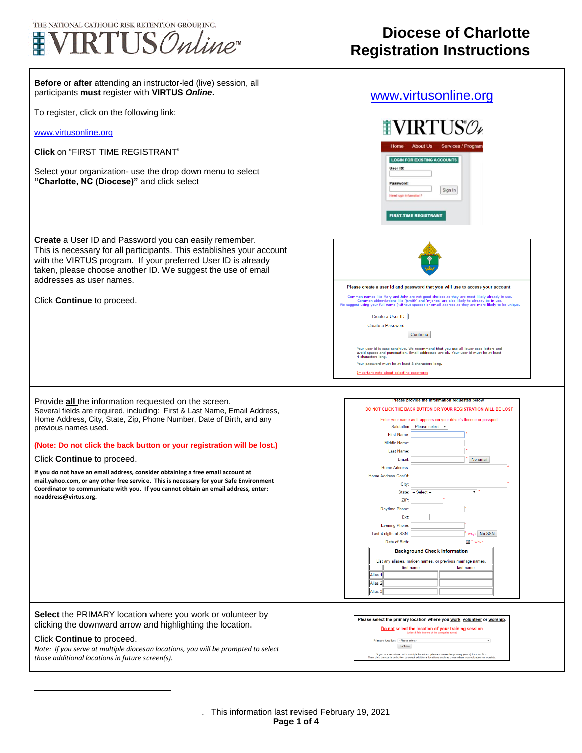

1

Г

 $\overline{a}$ 

## **Diocese of Charlotte Registration Instructions**

٦

| Before or after attending an instructor-led (live) session, all<br>participants <b>must</b> register with VIRTUS Online.                                                                                                                                                                       | www.virtusonline.org                                                                                                                                                                                                                                                                                                                                                                              |
|------------------------------------------------------------------------------------------------------------------------------------------------------------------------------------------------------------------------------------------------------------------------------------------------|---------------------------------------------------------------------------------------------------------------------------------------------------------------------------------------------------------------------------------------------------------------------------------------------------------------------------------------------------------------------------------------------------|
| To register, click on the following link:                                                                                                                                                                                                                                                      |                                                                                                                                                                                                                                                                                                                                                                                                   |
| www.virtusonline.org                                                                                                                                                                                                                                                                           | <b>NIRTUS</b>                                                                                                                                                                                                                                                                                                                                                                                     |
| <b>Click on "FIRST TIME REGISTRANT"</b>                                                                                                                                                                                                                                                        | Home<br><b>About Us</b><br><b>Services / Progran</b><br><b>LOGIN FOR EXISTING ACCOUNTS</b>                                                                                                                                                                                                                                                                                                        |
| Select your organization- use the drop down menu to select<br>"Charlotte, NC (Diocese)" and click select                                                                                                                                                                                       | User ID:<br>Password<br>Sign In<br>Need login information'<br><b>FIRST-TIME REGISTRANT</b>                                                                                                                                                                                                                                                                                                        |
| Create a User ID and Password you can easily remember.<br>This is necessary for all participants. This establishes your account<br>with the VIRTUS program. If your preferred User ID is already<br>taken, please choose another ID. We suggest the use of email<br>addresses as user names.   | Please create a user id and password that you will use to access your account<br>Common names like Mary and John are not good choices as they are most likely already in use.                                                                                                                                                                                                                     |
| Click Continue to proceed.                                                                                                                                                                                                                                                                     | Common abbreviations like 'jsmith' and 'mjones' are also likely to already be in use<br>We suggest using your full name (without spaces) or email address as they are more likely to be unique<br>Create a User ID:<br>Create a Password:<br>Continue                                                                                                                                             |
|                                                                                                                                                                                                                                                                                                | Your user id is case sensitive. We recommend that you use all lower case letters and<br>avoid spaces and punctuation. Email addresses are ok. Your user id must be at least<br>4 characters long.<br>Your password must be at least 8 characters long.<br>Important note about selecting password                                                                                                 |
| Provide <b>all</b> the information requested on the screen.<br>Several fields are required, including: First & Last Name, Email Address,<br>Home Address, City, State, Zip, Phone Number, Date of Birth, and any<br>previous names used.                                                       | Please provide the information requested below<br>DO NOT CLICK THE BACK BUTTON OR YOUR REGISTRATION WILL BE LOST<br>Enter your name as it appears on your driver's license or passport<br>Salutation   - Please select - v<br><b>First Name:</b>                                                                                                                                                  |
| (Note: Do not click the back button or your registration will be lost.)                                                                                                                                                                                                                        | <b>Middle Name</b><br>Last Name:                                                                                                                                                                                                                                                                                                                                                                  |
| Click Continue to proceed.                                                                                                                                                                                                                                                                     | Email:<br>No email                                                                                                                                                                                                                                                                                                                                                                                |
| If you do not have an email address, consider obtaining a free email account at<br>mail.yahoo.com, or any other free service. This is necessary for your Safe Environment<br>Coordinator to communicate with you. If you cannot obtain an email address, enter:<br>noaddress@virtus.org.       | Home Address:<br>Home Address Cont'd:<br>City<br>$-$ Select $-$<br>▼   '<br>State:<br>ZIP:<br>Daytime Phone:                                                                                                                                                                                                                                                                                      |
|                                                                                                                                                                                                                                                                                                | Ext:<br><b>Evening Phone:</b><br>Last 4 digits of SSN:<br>Why? No SSN<br>Date of Birth:<br><b>EE</b> <sup>*</sup> Why?<br><b>Background Check Information</b><br>List any aliases, maiden names, or previous marriage names.<br>first name<br>last name<br>Alias <sub>1</sub><br>Alias <sub>2</sub><br>Alias <sub>3</sub>                                                                         |
| Select the PRIMARY location where you work or volunteer by<br>clicking the downward arrow and highlighting the location.<br>Click Continue to proceed.<br>Note: If you serve at multiple diocesan locations, you will be prompted to select<br>those additional locations in future screen(s). | Please select the primary location where you work, volunteer or worship.<br>Do not select the location of your training session<br>Primary location: - Please select-<br>Continue<br>If you are associated with multiple locations, please choose the primary (work) location first.<br>Then click the continue button to select additional locations such as those where you volunteer or worshi |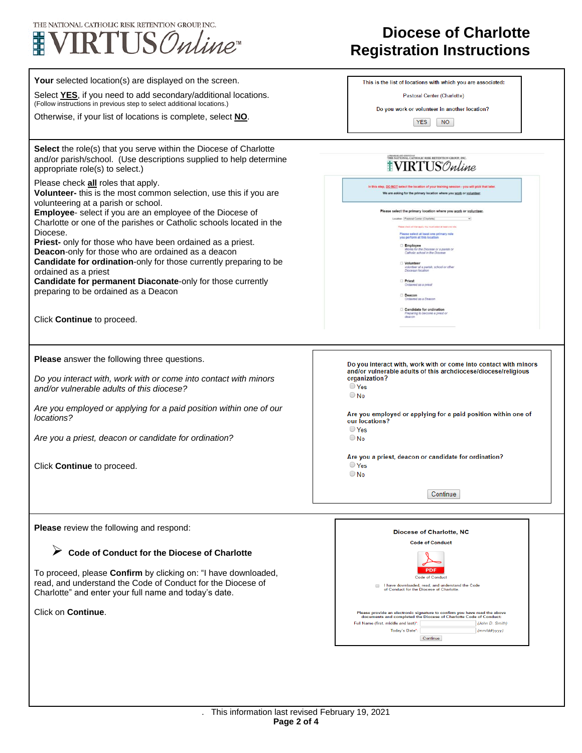

## **Diocese of Charlotte Registration Instructions**

| Your selected location(s) are displayed on the screen.<br>Select YES, if you need to add secondary/additional locations.<br>(Follow instructions in previous step to select additional locations.)<br>Otherwise, if your list of locations is complete, select NO. | This is the list of locations with which you are associated:<br>Pastoral Center (Charlotte)<br>Do you work or volunteer in another location?                                                              |
|--------------------------------------------------------------------------------------------------------------------------------------------------------------------------------------------------------------------------------------------------------------------|-----------------------------------------------------------------------------------------------------------------------------------------------------------------------------------------------------------|
|                                                                                                                                                                                                                                                                    | <b>YES</b><br><b>NO</b>                                                                                                                                                                                   |
| Select the role(s) that you serve within the Diocese of Charlotte<br>and/or parish/school. (Use descriptions supplied to help determine<br>appropriate role(s) to select.)                                                                                         | THE NATIONAL CATHOLIC RISK RETENTION GROUP, IN<br><b>IVIRTUS</b> Online                                                                                                                                   |
| Please check all roles that apply.<br>Volunteer- this is the most common selection, use this if you are<br>volunteering at a parish or school.                                                                                                                     | In this step, DO NOT select the location of your training session - you will pick that later<br>We are asking for the primary location where you work or volunteer                                        |
| <b>Employee-</b> select if you are an employee of the Diocese of<br>Charlotte or one of the parishes or Catholic schools located in the                                                                                                                            | Please select the primary location where you work or volunteer<br>Location: Pastoral Center (Charlotte)<br>a check at that apply. You must select at least one rol                                        |
| Diocese.<br><b>Priest-</b> only for those who have been ordained as a priest.<br><b>Deacon-only for those who are ordained as a deacon</b>                                                                                                                         | Please select at least one primary role<br>you perform at this location<br>Employee<br>Works for the Diocese or a pansh or<br>Catholic school in the Diocese                                              |
| Candidate for ordination-only for those currently preparing to be<br>ordained as a priest                                                                                                                                                                          | Volunteer<br>volunteer at a parish, school or other<br>Diocesan Incation                                                                                                                                  |
| Candidate for permanent Diaconate-only for those currently<br>preparing to be ordained as a Deacon                                                                                                                                                                 | <b>Priest</b><br>Ordained as a priest<br>Deacon                                                                                                                                                           |
| Click Continue to proceed.                                                                                                                                                                                                                                         | Ordained as a Deacon<br>Candidate for ordination<br>Preparing to become a priest or<br>deacon                                                                                                             |
|                                                                                                                                                                                                                                                                    |                                                                                                                                                                                                           |
| <b>Please</b> answer the following three questions.                                                                                                                                                                                                                | Do you interact with, work with or come into contact with minors<br>and/or vulnerable adults of this archdiocese/diocese/religious                                                                        |
| Do you interact with, work with or come into contact with minors<br>and/or vulnerable adults of this diocese?                                                                                                                                                      | organization?<br>◯ Yes<br>$\bigcirc$ No                                                                                                                                                                   |
| Are you employed or applying for a paid position within one of our<br>locations?                                                                                                                                                                                   | Are you employed or applying for a paid position within one of<br>our locations?                                                                                                                          |
| Are you a priest, deacon or candidate for ordination?                                                                                                                                                                                                              | ◯ Yes<br>$\bigcirc$ No                                                                                                                                                                                    |
| Click Continue to proceed.                                                                                                                                                                                                                                         | Are you a priest, deacon or candidate for ordination?<br>$\bigcirc$ Yes<br>$\bigcirc$ No                                                                                                                  |
|                                                                                                                                                                                                                                                                    | Continue                                                                                                                                                                                                  |
| Please review the following and respond:                                                                                                                                                                                                                           |                                                                                                                                                                                                           |
|                                                                                                                                                                                                                                                                    | Diocese of Charlotte, NC<br><b>Code of Conduct</b>                                                                                                                                                        |
| ➤<br>Code of Conduct for the Diocese of Charlotte                                                                                                                                                                                                                  |                                                                                                                                                                                                           |
| To proceed, please Confirm by clicking on: "I have downloaded,<br>read, and understand the Code of Conduct for the Diocese of<br>Charlotte" and enter your full name and today's date.                                                                             | <b>Code of Conduct</b><br>I have downloaded, read, and understand the Code<br>of Conduct for the Diocese of Charlotte.                                                                                    |
| Click on Continue.                                                                                                                                                                                                                                                 | Please provide an electronic signature to confirm you have read the above<br>documents and completed the Diocese of Charlotte Code of Conduct:<br>Full Name (first, middle and last)*:<br>(John D. Smith) |

Today's Date\*:

Continue

 $(mm/dd/yyyy)$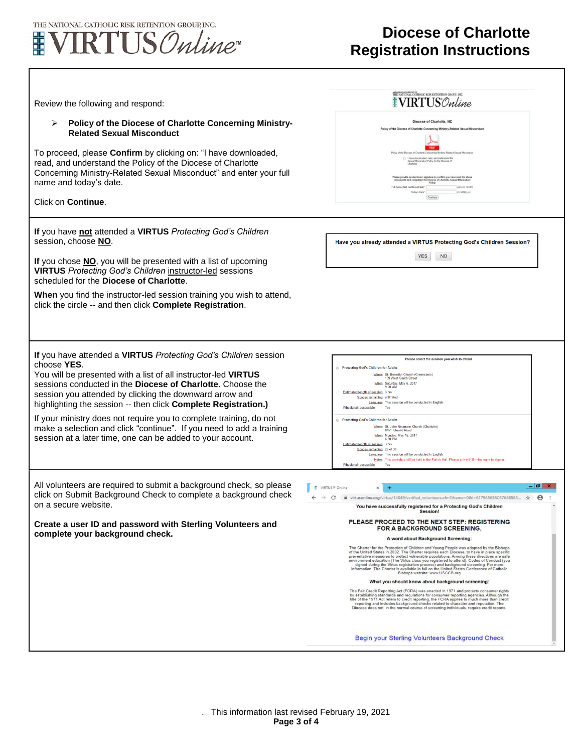

 $\Gamma$ 

## **Diocese of Charlotte Registration Instructions**

| Review the following and respond:<br>Policy of the Diocese of Charlotte Concerning Ministry-<br>➤<br><b>Related Sexual Misconduct</b><br>To proceed, please Confirm by clicking on: "I have downloaded,<br>read, and understand the Policy of the Diocese of Charlotte<br>Concerning Ministry-Related Sexual Misconduct" and enter your full<br>name and today's date.<br>Click on <b>Continue</b> .                                                                                                                                                            | THE NATIONAL CATHOLIC RISK RETENTION GROUP, INC.<br><b>WRTUS</b> Online<br>Diocese of Charlotte, NC<br>Policy of the Diocese of Charlotte Concerning Ministry-Related Sexual Misconduct<br>Policy of the Diocese of Charlotte Concerning Ministry-Related Sexual Misconduct<br>1 I have downloaded, read, and understand the<br>Sexual Misconduct Policy for the Diocese of<br>wide an electronic signature to confirm you have read the above<br>ts and completed the Diocese of Charlotte Sexual Misconduct<br>$P_{\text{OICF}}$ :<br>Full Name (first, middle and last)".<br>(John D. Smith)<br><b>Service Control</b><br>Today's Date":<br>[/www.bld/innny]                                                                                                                                                                                                                                                                                                                                                                                                                                                                                                                                                                                                                                                                                                                                                                                                                                                                                         |
|-----------------------------------------------------------------------------------------------------------------------------------------------------------------------------------------------------------------------------------------------------------------------------------------------------------------------------------------------------------------------------------------------------------------------------------------------------------------------------------------------------------------------------------------------------------------|---------------------------------------------------------------------------------------------------------------------------------------------------------------------------------------------------------------------------------------------------------------------------------------------------------------------------------------------------------------------------------------------------------------------------------------------------------------------------------------------------------------------------------------------------------------------------------------------------------------------------------------------------------------------------------------------------------------------------------------------------------------------------------------------------------------------------------------------------------------------------------------------------------------------------------------------------------------------------------------------------------------------------------------------------------------------------------------------------------------------------------------------------------------------------------------------------------------------------------------------------------------------------------------------------------------------------------------------------------------------------------------------------------------------------------------------------------------------------------------------------------------------------------------------------------|
| If you have not attended a VIRTUS Protecting God's Children<br>session, choose NO.<br>If you chose NO, you will be presented with a list of upcoming<br><b>VIRTUS</b> Protecting God's Children instructor-led sessions<br>scheduled for the Diocese of Charlotte.<br>When you find the instructor-led session training you wish to attend,<br>click the circle -- and then click Complete Registration.                                                                                                                                                        | Have you already attended a VIRTUS Protecting God's Children Session?<br><b>YES</b><br><b>NO</b>                                                                                                                                                                                                                                                                                                                                                                                                                                                                                                                                                                                                                                                                                                                                                                                                                                                                                                                                                                                                                                                                                                                                                                                                                                                                                                                                                                                                                                                        |
| If you have attended a VIRTUS Protecting God's Children session<br>choose YES.<br>You will be presented with a list of all instructor-led VIRTUS<br>sessions conducted in the <b>Diocese of Charlotte</b> . Choose the<br>session you attended by clicking the downward arrow and<br>highlighting the session -- then click Complete Registration.)<br>If your ministry does not require you to complete training, do not<br>make a selection and click "continue". If you need to add a training<br>session at a later time, one can be added to your account. | Please select the session you wish to attend<br>Protecting God's Children for Adults<br>Where: St. Benedict Church (Greensboro)<br>109 West Smith Stree<br>When: Saturday, May 6, 2017<br>9:00 AM<br>Estimated length of session: 3 hrs<br>Spaces remaining: unlimited<br>Language: This session will be conducted in English<br>Wheelchair accessible:<br>Yes<br>Protecting God's Children for Adults<br>Where: St. John Neumann Church (Charlotte)<br>8451 Idlewild Road<br>When: Monday, May 15, 2017<br>6:30 PM<br>Estimated length of session: 3 hrs<br>Spaces remaining: 29 of 30<br>Language: This session will be conducted in English<br>Notes: This workshop will be held in the Parish Hall. Please arrive 5-10 mins early to sign-in<br>Wheelchair accessible:<br>Yes                                                                                                                                                                                                                                                                                                                                                                                                                                                                                                                                                                                                                                                                                                                                                                       |
| All volunteers are required to submit a background check, so please<br>click on Submit Background Check to complete a background check<br>on a secure website.<br>Create a user ID and password with Sterling Volunteers and<br>complete your background check.                                                                                                                                                                                                                                                                                                 | $-0$<br>VIRTUS® Online<br>$\times$<br>$+$<br>$\rightarrow$ C $\bullet$ virtusonline.org/virtus/14049/verified_volunteers.cfm?theme=0&i=617965636C67646563 $\star$ e<br>You have successfully registered for a Protecting God's Children<br>Session!<br>PLEASE PROCEED TO THE NEXT STEP: REGISTERING<br>FOR A BACKGROUND SCREENING.<br>A word about Background Screening:<br>The Charter for the Protection of Children and Young People was adopted by the Bishops<br>of the United States in 2002. The Charter requires each Diocese, to have in place specific<br>preventative measures to protect vulnerable populations. Among these directives are safe<br>environment education (The Virtus class you registered to attend); Codes of Conduct (you<br>signed during the Virtus registration process) and background screening. For more<br>information, The Charter is available in full on the United States Conference of Catholic<br>Bishops website: www.USCCB.org<br>What you should know about background screening:<br>The Fair Credit Reporting Act (FCRA) was enacted in 1971 and protects consumer rights<br>by establishing standards and regulations for consumer reporting agencies. Although the<br>title of the 1971 Act refers to credit reporting, the FCRA applies to much more than credit<br>reporting and includes background checks related to character and reputation. The<br>Diocese does not, in the normal course of screening individuals, require credit reports.<br>Begin your Sterling Volunteers Background Check |